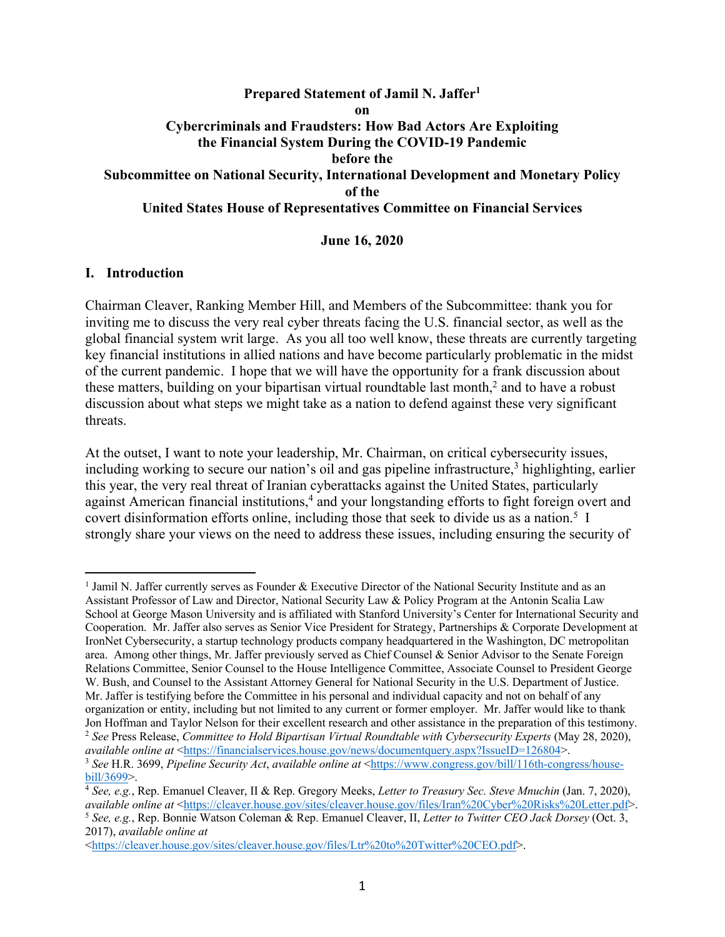### **Prepared Statement of Jamil N. Jaffer1 on Cybercriminals and Fraudsters: How Bad Actors Are Exploiting the Financial System During the COVID-19 Pandemic before the Subcommittee on National Security, International Development and Monetary Policy of the United States House of Representatives Committee on Financial Services**

#### **June 16, 2020**

#### **I. Introduction**

Chairman Cleaver, Ranking Member Hill, and Members of the Subcommittee: thank you for inviting me to discuss the very real cyber threats facing the U.S. financial sector, as well as the global financial system writ large. As you all too well know, these threats are currently targeting key financial institutions in allied nations and have become particularly problematic in the midst of the current pandemic. I hope that we will have the opportunity for a frank discussion about these matters, building on your bipartisan virtual roundtable last month, <sup>2</sup> and to have a robust discussion about what steps we might take as a nation to defend against these very significant threats.

At the outset, I want to note your leadership, Mr. Chairman, on critical cybersecurity issues, including working to secure our nation's oil and gas pipeline infrastructure, <sup>3</sup> highlighting, earlier this year, the very real threat of Iranian cyberattacks against the United States, particularly against American financial institutions, <sup>4</sup> and your longstanding efforts to fight foreign overt and covert disinformation efforts online, including those that seek to divide us as a nation.<sup>5</sup> I strongly share your views on the need to address these issues, including ensuring the security of

<sup>1</sup> Jamil N. Jaffer currently serves as Founder & Executive Director of the National Security Institute and as an Assistant Professor of Law and Director, National Security Law & Policy Program at the Antonin Scalia Law School at George Mason University and is affiliated with Stanford University's Center for International Security and Cooperation. Mr. Jaffer also serves as Senior Vice President for Strategy, Partnerships & Corporate Development at IronNet Cybersecurity, a startup technology products company headquartered in the Washington, DC metropolitan area. Among other things, Mr. Jaffer previously served as Chief Counsel & Senior Advisor to the Senate Foreign Relations Committee, Senior Counsel to the House Intelligence Committee, Associate Counsel to President George W. Bush, and Counsel to the Assistant Attorney General for National Security in the U.S. Department of Justice. Mr. Jaffer is testifying before the Committee in his personal and individual capacity and not on behalf of any organization or entity, including but not limited to any current or former employer. Mr. Jaffer would like to thank Jon Hoffman and Taylor Nelson for their excellent research and other assistance in the preparation of this testimony. <sup>2</sup> *See* Press Release, *Committee to Hold Bipartisan Virtual Roundtable with Cybersecurity Experts* (May 28, 2020),

*available online at* <https://financialservices.house.gov/news/documentquery.aspx?IssueID=126804>. <sup>3</sup> *See* H.R. 3699, *Pipeline Security Act*, *available online at* <https://www.congress.gov/bill/116th-congress/housebill/3699>.

<sup>4</sup> *See, e.g.*, Rep. Emanuel Cleaver, II & Rep. Gregory Meeks, *Letter to Treasury Sec. Steve Mnuchin* (Jan. 7, 2020), *available online at* <https://cleaver.house.gov/sites/cleaver.house.gov/files/Iran%20Cyber%20Risks%20Letter.pdf>. <sup>5</sup> *See, e.g.*, Rep. Bonnie Watson Coleman & Rep. Emanuel Cleaver, II, *Letter to Twitter CEO Jack Dorsey* (Oct. 3, 2017), *available online at*

<https://cleaver.house.gov/sites/cleaver.house.gov/files/Ltr%20to%20Twitter%20CEO.pdf>.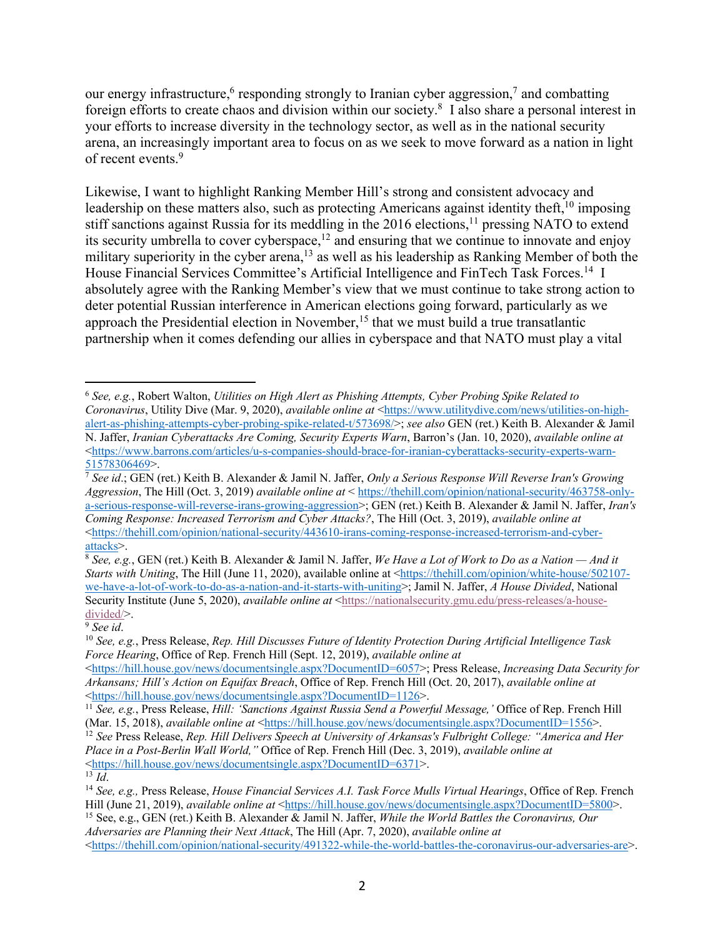our energy infrastructure,<sup>6</sup> responding strongly to Iranian cyber aggression,<sup>7</sup> and combatting foreign efforts to create chaos and division within our society.8 I also share a personal interest in your efforts to increase diversity in the technology sector, as well as in the national security arena, an increasingly important area to focus on as we seek to move forward as a nation in light of recent events. 9

Likewise, I want to highlight Ranking Member Hill's strong and consistent advocacy and leadership on these matters also, such as protecting Americans against identity theft,<sup>10</sup> imposing stiff sanctions against Russia for its meddling in the 2016 elections,<sup>11</sup> pressing NATO to extend its security umbrella to cover cyberspace,<sup>12</sup> and ensuring that we continue to innovate and enjoy military superiority in the cyber arena,<sup>13</sup> as well as his leadership as Ranking Member of both the House Financial Services Committee's Artificial Intelligence and FinTech Task Forces.<sup>14</sup> I absolutely agree with the Ranking Member's view that we must continue to take strong action to deter potential Russian interference in American elections going forward, particularly as we approach the Presidential election in November,  $15$  that we must build a true transatlantic partnership when it comes defending our allies in cyberspace and that NATO must play a vital

<sup>6</sup> *See, e.g.*, Robert Walton, *Utilities on High Alert as Phishing Attempts, Cyber Probing Spike Related to Coronavirus*, Utility Dive (Mar. 9, 2020), *available online at* <https://www.utilitydive.com/news/utilities-on-highalert-as-phishing-attempts-cyber-probing-spike-related-t/573698/>; *see also* GEN (ret.) Keith B. Alexander & Jamil N. Jaffer, *Iranian Cyberattacks Are Coming, Security Experts Warn*, Barron's (Jan. 10, 2020), *available online at* <https://www.barrons.com/articles/u-s-companies-should-brace-for-iranian-cyberattacks-security-experts-warn-51578306469>.

<sup>7</sup> *See id*.; GEN (ret.) Keith B. Alexander & Jamil N. Jaffer, *Only a Serious Response Will Reverse Iran's Growing Aggression*, The Hill (Oct. 3, 2019) *available online at* < https://thehill.com/opinion/national-security/463758-onlya-serious-response-will-reverse-irans-growing-aggression>; GEN (ret.) Keith B. Alexander & Jamil N. Jaffer, *Iran's Coming Response: Increased Terrorism and Cyber Attacks?*, The Hill (Oct. 3, 2019), *available online at*  $\lt$ https://thehill.com/opinion/national-security/443610-irans-coming-response-increased-terrorism-and-cyberattacks>.

<sup>8</sup> *See, e.g.*, GEN (ret.) Keith B. Alexander & Jamil N. Jaffer, *We Have a Lot of Work to Do as a Nation — And it Starts with Uniting*, The Hill (June 11, 2020), available online at <https://thehill.com/opinion/white-house/502107we-have-a-lot-of-work-to-do-as-a-nation-and-it-starts-with-uniting>; Jamil N. Jaffer, *A House Divided*, National Security Institute (June 5, 2020), *available online at* <https://nationalsecurity.gmu.edu/press-releases/a-housedivided/>.

<sup>9</sup> *See id*.

<sup>10</sup> *See, e.g.*, Press Release, *Rep. Hill Discusses Future of Identity Protection During Artificial Intelligence Task Force Hearing*, Office of Rep. French Hill (Sept. 12, 2019), *available online at*

<sup>&</sup>lt;https://hill.house.gov/news/documentsingle.aspx?DocumentID=6057>; Press Release, *Increasing Data Security for Arkansans; Hill's Action on Equifax Breach*, Office of Rep. French Hill (Oct. 20, 2017), *available online at* <https://hill.house.gov/news/documentsingle.aspx?DocumentID=1126>.

<sup>11</sup> *See, e.g.*, Press Release, *Hill: 'Sanctions Against Russia Send a Powerful Message,'* Office of Rep. French Hill (Mar. 15, 2018), *available online at* <https://hill.house.gov/news/documentsingle.aspx?DocumentID=1556>.

<sup>&</sup>lt;sup>12</sup> See Press Release, *Rep. Hill Delivers Speech at University of Arkansas's Fulbright College: "America and Her Place in a Post-Berlin Wall World,"* Office of Rep. French Hill (Dec. 3, 2019), *available online at* <https://hill.house.gov/news/documentsingle.aspx?DocumentID=6371>.

 $\overline{13}$  *Id.* 

<sup>14</sup> *See, e.g.,* Press Release, *House Financial Services A.I. Task Force Mulls Virtual Hearings*, Office of Rep. French Hill (June 21, 2019), *available online at* <https://hill.house.gov/news/documentsingle.aspx?DocumentID=5800>.

<sup>15</sup> See, e.g., GEN (ret.) Keith B. Alexander & Jamil N. Jaffer, *While the World Battles the Coronavirus, Our Adversaries are Planning their Next Attack*, The Hill (Apr. 7, 2020), *available online at* <https://thehill.com/opinion/national-security/491322-while-the-world-battles-the-coronavirus-our-adversaries-are>.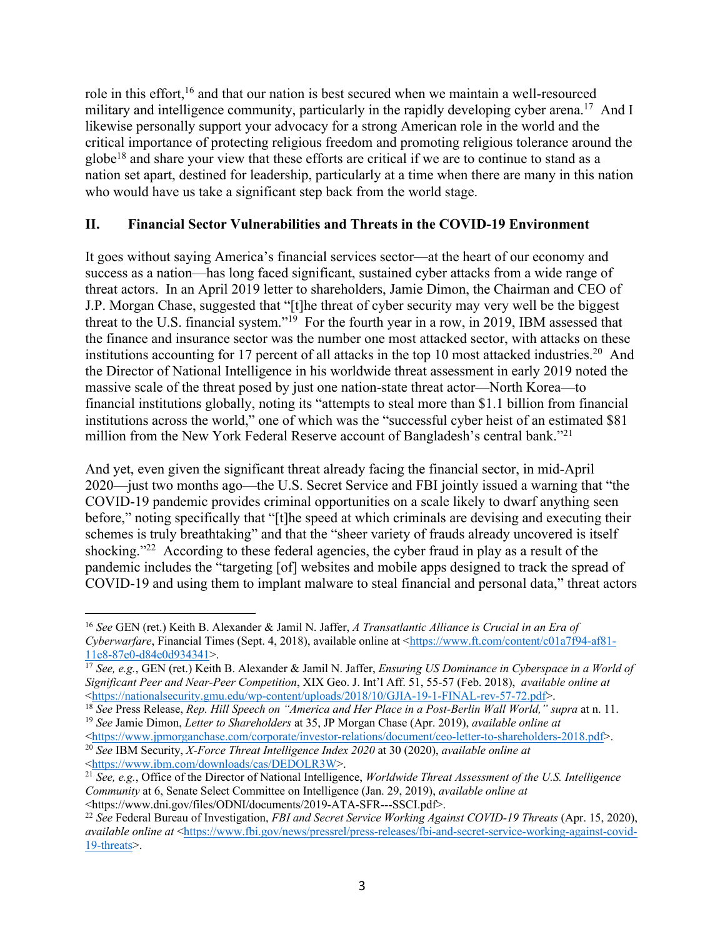role in this effort,16 and that our nation is best secured when we maintain a well-resourced military and intelligence community, particularly in the rapidly developing cyber arena.<sup>17</sup> And I likewise personally support your advocacy for a strong American role in the world and the critical importance of protecting religious freedom and promoting religious tolerance around the globe<sup>18</sup> and share your view that these efforts are critical if we are to continue to stand as a nation set apart, destined for leadership, particularly at a time when there are many in this nation who would have us take a significant step back from the world stage.

## **II. Financial Sector Vulnerabilities and Threats in the COVID-19 Environment**

It goes without saying America's financial services sector—at the heart of our economy and success as a nation—has long faced significant, sustained cyber attacks from a wide range of threat actors. In an April 2019 letter to shareholders, Jamie Dimon, the Chairman and CEO of J.P. Morgan Chase, suggested that "[t]he threat of cyber security may very well be the biggest threat to the U.S. financial system."19 For the fourth year in a row, in 2019, IBM assessed that the finance and insurance sector was the number one most attacked sector, with attacks on these institutions accounting for 17 percent of all attacks in the top 10 most attacked industries.<sup>20</sup> And the Director of National Intelligence in his worldwide threat assessment in early 2019 noted the massive scale of the threat posed by just one nation-state threat actor—North Korea—to financial institutions globally, noting its "attempts to steal more than \$1.1 billion from financial institutions across the world," one of which was the "successful cyber heist of an estimated \$81 million from the New York Federal Reserve account of Bangladesh's central bank."21

And yet, even given the significant threat already facing the financial sector, in mid-April 2020—just two months ago—the U.S. Secret Service and FBI jointly issued a warning that "the COVID-19 pandemic provides criminal opportunities on a scale likely to dwarf anything seen before," noting specifically that "[t]he speed at which criminals are devising and executing their schemes is truly breathtaking" and that the "sheer variety of frauds already uncovered is itself shocking."<sup>22</sup> According to these federal agencies, the cyber fraud in play as a result of the pandemic includes the "targeting [of] websites and mobile apps designed to track the spread of COVID-19 and using them to implant malware to steal financial and personal data," threat actors

<https://www.ibm.com/downloads/cas/DEDOLR3W>.

<sup>16</sup> *See* GEN (ret.) Keith B. Alexander & Jamil N. Jaffer, *A Transatlantic Alliance is Crucial in an Era of Cyberwarfare*, Financial Times (Sept. 4, 2018), available online at <https://www.ft.com/content/c01a7f94-af81- 11e8-87e0-d84e0d934341>.

<sup>17</sup> *See, e.g.*, GEN (ret.) Keith B. Alexander & Jamil N. Jaffer, *Ensuring US Dominance in Cyberspace in a World of Significant Peer and Near-Peer Competition*, XIX Geo. J. Int'l Aff. 51, 55-57 (Feb. 2018), *available online at* <https://nationalsecurity.gmu.edu/wp-content/uploads/2018/10/GJIA-19-1-FINAL-rev-57-72.pdf>.

<sup>18</sup> *See* Press Release, *Rep. Hill Speech on "America and Her Place in a Post-Berlin Wall World," supra* at n. 11. <sup>19</sup> *See* Jamie Dimon, *Letter to Shareholders* at 35, JP Morgan Chase (Apr. 2019), *available online at*

<sup>&</sup>lt;https://www.jpmorganchase.com/corporate/investor-relations/document/ceo-letter-to-shareholders-2018.pdf>. <sup>20</sup> *See* IBM Security, *X-Force Threat Intelligence Index 2020* at 30 (2020), *available online at*

<sup>21</sup> *See, e.g.*, Office of the Director of National Intelligence, *Worldwide Threat Assessment of the U.S. Intelligence Community* at 6, Senate Select Committee on Intelligence (Jan. 29, 2019), *available online at* 

<sup>&</sup>lt;https://www.dni.gov/files/ODNI/documents/2019-ATA-SFR---SSCI.pdf>. 22 *See* Federal Bureau of Investigation, *FBI and Secret Service Working Against COVID-19 Threats* (Apr. 15, 2020), *available online at* <https://www.fbi.gov/news/pressrel/press-releases/fbi-and-secret-service-working-against-covid-19-threats>.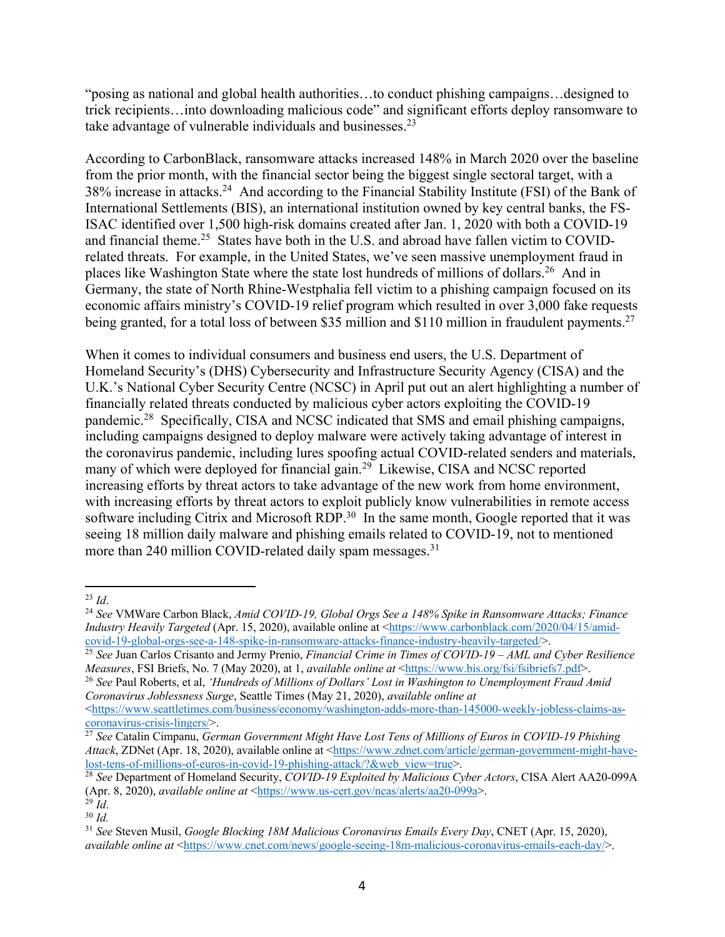"posing as national and global health authorities…to conduct phishing campaigns…designed to trick recipients…into downloading malicious code" and significant efforts deploy ransomware to take advantage of vulnerable individuals and businesses.<sup>23</sup>

According to CarbonBlack, ransomware attacks increased 148% in March 2020 over the baseline from the prior month, with the financial sector being the biggest single sectoral target, with a 38% increase in attacks.<sup>24</sup> And according to the Financial Stability Institute (FSI) of the Bank of International Settlements (BIS), an international institution owned by key central banks, the FS-ISAC identified over 1,500 high-risk domains created after Jan. 1, 2020 with both a COVID-19 and financial theme.<sup>25</sup> States have both in the U.S. and abroad have fallen victim to COVIDrelated threats. For example, in the United States, we've seen massive unemployment fraud in places like Washington State where the state lost hundreds of millions of dollars.<sup>26</sup> And in Germany, the state of North Rhine-Westphalia fell victim to a phishing campaign focused on its economic affairs ministry's COVID-19 relief program which resulted in over 3,000 fake requests being granted, for a total loss of between \$35 million and \$110 million in fraudulent payments.<sup>27</sup>

When it comes to individual consumers and business end users, the U.S. Department of Homeland Security's (DHS) Cybersecurity and Infrastructure Security Agency (CISA) and the U.K.'s National Cyber Security Centre (NCSC) in April put out an alert highlighting a number of financially related threats conducted by malicious cyber actors exploiting the COVID-19 pandemic.<sup>28</sup> Specifically, CISA and NCSC indicated that SMS and email phishing campaigns, including campaigns designed to deploy malware were actively taking advantage of interest in the coronavirus pandemic, including lures spoofing actual COVID-related senders and materials, many of which were deployed for financial gain.<sup>29</sup> Likewise, CISA and NCSC reported increasing efforts by threat actors to take advantage of the new work from home environment, with increasing efforts by threat actors to exploit publicly know vulnerabilities in remote access software including Citrix and Microsoft RDP.<sup>30</sup> In the same month, Google reported that it was seeing 18 million daily malware and phishing emails related to COVID-19, not to mentioned more than 240 million COVID-related daily spam messages.<sup>31</sup>

<sup>23</sup> *Id*.

<sup>24</sup> *See* VMWare Carbon Black, *Amid COVID-19, Global Orgs See a 148% Spike in Ransomware Attacks; Finance Industry Heavily Targeted* (Apr. 15, 2020), available online at <https://www.carbonblack.com/2020/04/15/amidcovid-19-global-orgs-see-a-148-spike-in-ransomware-attacks-finance-industry-heavily-targeted/>.

<sup>25</sup> *See* Juan Carlos Crisanto and Jermy Prenio, *Financial Crime in Times of COVID-19 – AML and Cyber Resilience Measures*, FSI Briefs, No. 7 (May 2020), at 1, *available online at* <https://www.bis.org/fsi/fsibriefs7.pdf>.

<sup>26</sup> *See* Paul Roberts, et al, *'Hundreds of Millions of Dollars' Lost in Washington to Unemployment Fraud Amid Coronavirus Joblessness Surge*, Seattle Times (May 21, 2020), *available online at*

<sup>&</sup>lt;https://www.seattletimes.com/business/economy/washington-adds-more-than-145000-weekly-jobless-claims-ascoronavirus-crisis-lingers/>.

<sup>27</sup> *See* Catalin Cimpanu, *German Government Might Have Lost Tens of Millions of Euros in COVID-19 Phishing Attack*, ZDNet (Apr. 18, 2020), available online at <https://www.zdnet.com/article/german-government-might-havelost-tens-of-millions-of-euros-in-covid-19-phishing-attack/?&web\_view=true>.

<sup>28</sup> *See* Department of Homeland Security, *COVID-19 Exploited by Malicious Cyber Actors*, CISA Alert AA20-099A (Apr. 8, 2020), *available online at* <https://www.us-cert.gov/ncas/alerts/aa20-099a>.

<sup>29</sup> *Id*. <sup>30</sup> *Id.*

<sup>31</sup> *See* Steven Musil, *Google Blocking 18M Malicious Coronavirus Emails Every Day*, CNET (Apr. 15, 2020), *available online at* <https://www.cnet.com/news/google-seeing-18m-malicious-coronavirus-emails-each-day/>.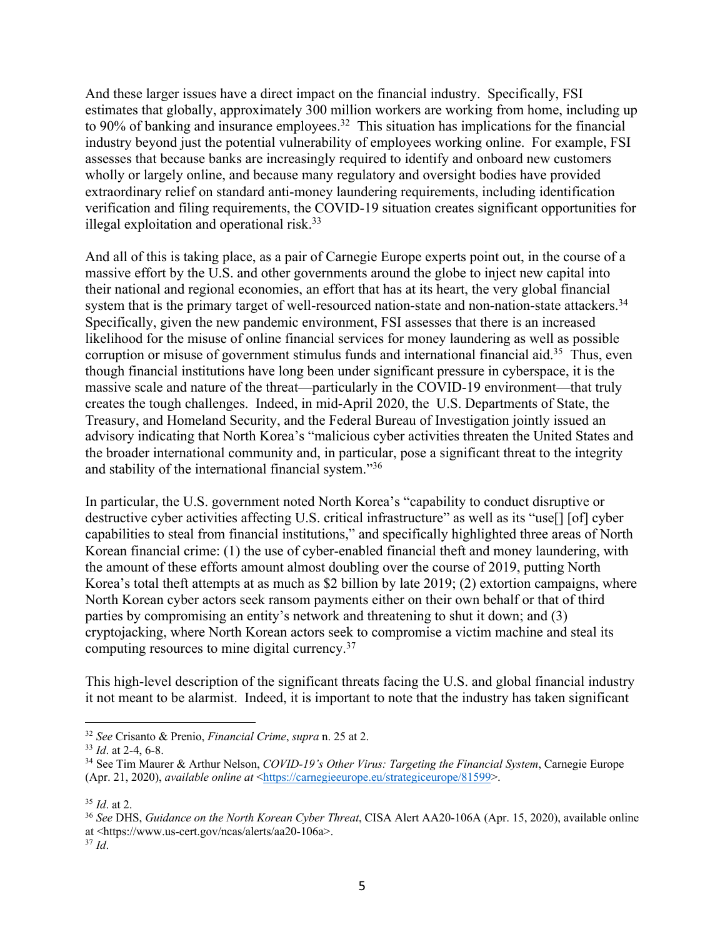And these larger issues have a direct impact on the financial industry. Specifically, FSI estimates that globally, approximately 300 million workers are working from home, including up to 90% of banking and insurance employees.<sup>32</sup> This situation has implications for the financial industry beyond just the potential vulnerability of employees working online. For example, FSI assesses that because banks are increasingly required to identify and onboard new customers wholly or largely online, and because many regulatory and oversight bodies have provided extraordinary relief on standard anti-money laundering requirements, including identification verification and filing requirements, the COVID-19 situation creates significant opportunities for illegal exploitation and operational risk.<sup>33</sup>

And all of this is taking place, as a pair of Carnegie Europe experts point out, in the course of a massive effort by the U.S. and other governments around the globe to inject new capital into their national and regional economies, an effort that has at its heart, the very global financial system that is the primary target of well-resourced nation-state and non-nation-state attackers.<sup>34</sup> Specifically, given the new pandemic environment, FSI assesses that there is an increased likelihood for the misuse of online financial services for money laundering as well as possible corruption or misuse of government stimulus funds and international financial aid.<sup>35</sup> Thus, even though financial institutions have long been under significant pressure in cyberspace, it is the massive scale and nature of the threat—particularly in the COVID-19 environment—that truly creates the tough challenges. Indeed, in mid-April 2020, the U.S. Departments of State, the Treasury, and Homeland Security, and the Federal Bureau of Investigation jointly issued an advisory indicating that North Korea's "malicious cyber activities threaten the United States and the broader international community and, in particular, pose a significant threat to the integrity and stability of the international financial system."36

In particular, the U.S. government noted North Korea's "capability to conduct disruptive or destructive cyber activities affecting U.S. critical infrastructure" as well as its "use<sup>[]</sup> [of] cyber capabilities to steal from financial institutions," and specifically highlighted three areas of North Korean financial crime: (1) the use of cyber-enabled financial theft and money laundering, with the amount of these efforts amount almost doubling over the course of 2019, putting North Korea's total theft attempts at as much as \$2 billion by late 2019; (2) extortion campaigns, where North Korean cyber actors seek ransom payments either on their own behalf or that of third parties by compromising an entity's network and threatening to shut it down; and (3) cryptojacking, where North Korean actors seek to compromise a victim machine and steal its computing resources to mine digital currency.<sup>37</sup>

This high-level description of the significant threats facing the U.S. and global financial industry it not meant to be alarmist. Indeed, it is important to note that the industry has taken significant

<sup>32</sup> *See* Crisanto & Prenio, *Financial Crime*, *supra* n. 25 at 2.

<sup>33</sup> *Id*. at 2-4, 6-8.

<sup>34</sup> See Tim Maurer & Arthur Nelson, *COVID-19's Other Virus: Targeting the Financial System*, Carnegie Europe (Apr. 21, 2020), *available online at* <https://carnegieeurope.eu/strategiceurope/81599>.

<sup>35</sup> *Id*. at 2.

<sup>36</sup> *See* DHS, *Guidance on the North Korean Cyber Threat*, CISA Alert AA20-106A (Apr. 15, 2020), available online at <https://www.us-cert.gov/ncas/alerts/aa20-106a>.

<sup>37</sup> *Id*.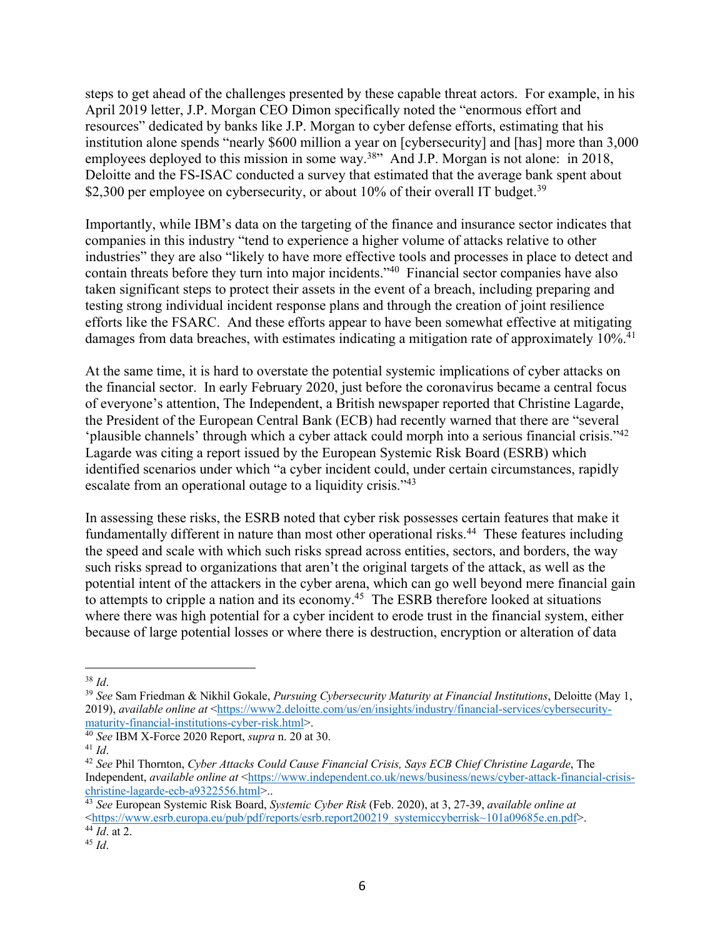steps to get ahead of the challenges presented by these capable threat actors. For example, in his April 2019 letter, J.P. Morgan CEO Dimon specifically noted the "enormous effort and resources" dedicated by banks like J.P. Morgan to cyber defense efforts, estimating that his institution alone spends "nearly \$600 million a year on [cybersecurity] and [has] more than 3,000 employees deployed to this mission in some way.<sup>38</sup> And J.P. Morgan is not alone: in 2018, Deloitte and the FS-ISAC conducted a survey that estimated that the average bank spent about \$2,300 per employee on cybersecurity, or about  $10\%$  of their overall IT budget.<sup>39</sup>

Importantly, while IBM's data on the targeting of the finance and insurance sector indicates that companies in this industry "tend to experience a higher volume of attacks relative to other industries" they are also "likely to have more effective tools and processes in place to detect and contain threats before they turn into major incidents."40 Financial sector companies have also taken significant steps to protect their assets in the event of a breach, including preparing and testing strong individual incident response plans and through the creation of joint resilience efforts like the FSARC. And these efforts appear to have been somewhat effective at mitigating damages from data breaches, with estimates indicating a mitigation rate of approximately 10%.<sup>41</sup>

At the same time, it is hard to overstate the potential systemic implications of cyber attacks on the financial sector. In early February 2020, just before the coronavirus became a central focus of everyone's attention, The Independent, a British newspaper reported that Christine Lagarde, the President of the European Central Bank (ECB) had recently warned that there are "several 'plausible channels' through which a cyber attack could morph into a serious financial crisis."42 Lagarde was citing a report issued by the European Systemic Risk Board (ESRB) which identified scenarios under which "a cyber incident could, under certain circumstances, rapidly escalate from an operational outage to a liquidity crisis."<sup>43</sup>

In assessing these risks, the ESRB noted that cyber risk possesses certain features that make it fundamentally different in nature than most other operational risks.<sup>44</sup> These features including the speed and scale with which such risks spread across entities, sectors, and borders, the way such risks spread to organizations that aren't the original targets of the attack, as well as the potential intent of the attackers in the cyber arena, which can go well beyond mere financial gain to attempts to cripple a nation and its economy.<sup>45</sup> The ESRB therefore looked at situations where there was high potential for a cyber incident to erode trust in the financial system, either because of large potential losses or where there is destruction, encryption or alteration of data

<sup>38</sup> *Id*.

<sup>39</sup> *See* Sam Friedman & Nikhil Gokale, *Pursuing Cybersecurity Maturity at Financial Institutions*, Deloitte (May 1, 2019), *available online at* <https://www2.deloitte.com/us/en/insights/industry/financial-services/cybersecuritymaturity-financial-institutions-cyber-risk.html>.

<sup>40</sup> *See* IBM X-Force 2020 Report, *supra* n. 20 at 30. 41 *Id*.

<sup>42</sup> *See* Phil Thornton, *Cyber Attacks Could Cause Financial Crisis, Says ECB Chief Christine Lagarde*, The Independent, *available online at* <https://www.independent.co.uk/news/business/news/cyber-attack-financial-crisischristine-lagarde-ecb-a9322556.html>..

<sup>43</sup> *See* European Systemic Risk Board, *Systemic Cyber Risk* (Feb. 2020), at 3, 27-39, *available online at*  $\lt$ https://www.esrb.europa.eu/pub/pdf/reports/esrb.report200219\_systemiccyberrisk~101a09685e.en.pdf>.

 $44\overline{Id}$ . at 2.

<sup>45</sup> *Id*.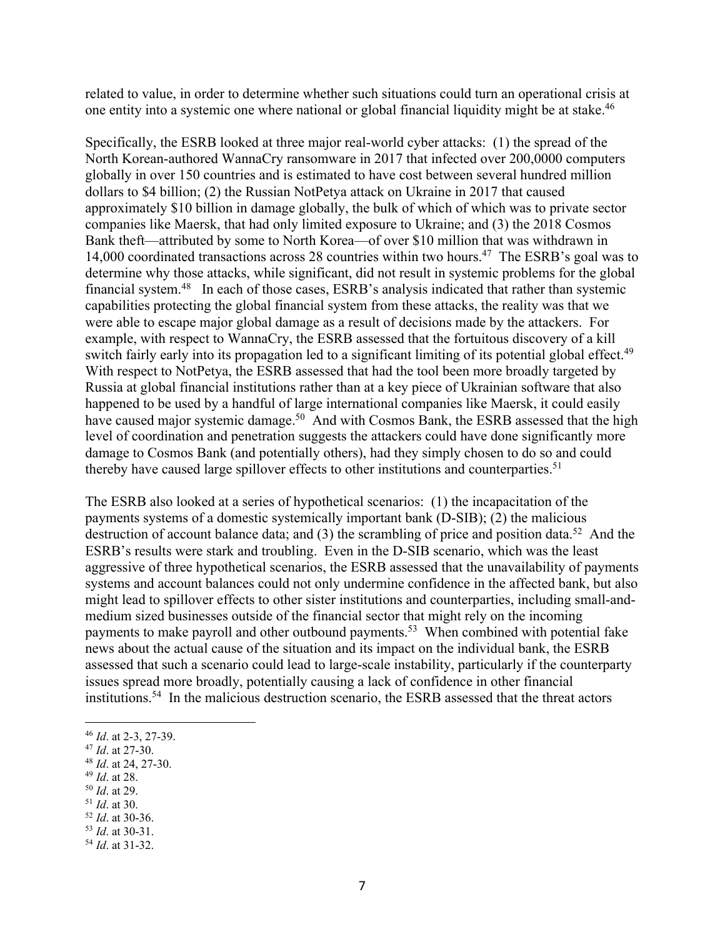related to value, in order to determine whether such situations could turn an operational crisis at one entity into a systemic one where national or global financial liquidity might be at stake. 46

Specifically, the ESRB looked at three major real-world cyber attacks: (1) the spread of the North Korean-authored WannaCry ransomware in 2017 that infected over 200,0000 computers globally in over 150 countries and is estimated to have cost between several hundred million dollars to \$4 billion; (2) the Russian NotPetya attack on Ukraine in 2017 that caused approximately \$10 billion in damage globally, the bulk of which of which was to private sector companies like Maersk, that had only limited exposure to Ukraine; and (3) the 2018 Cosmos Bank theft—attributed by some to North Korea—of over \$10 million that was withdrawn in 14,000 coordinated transactions across 28 countries within two hours. 47 The ESRB's goal was to determine why those attacks, while significant, did not result in systemic problems for the global financial system.<sup>48</sup> In each of those cases, ESRB's analysis indicated that rather than systemic capabilities protecting the global financial system from these attacks, the reality was that we were able to escape major global damage as a result of decisions made by the attackers. For example, with respect to WannaCry, the ESRB assessed that the fortuitous discovery of a kill switch fairly early into its propagation led to a significant limiting of its potential global effect.<sup>49</sup> With respect to NotPetya, the ESRB assessed that had the tool been more broadly targeted by Russia at global financial institutions rather than at a key piece of Ukrainian software that also happened to be used by a handful of large international companies like Maersk, it could easily have caused major systemic damage.<sup>50</sup> And with Cosmos Bank, the ESRB assessed that the high level of coordination and penetration suggests the attackers could have done significantly more damage to Cosmos Bank (and potentially others), had they simply chosen to do so and could thereby have caused large spillover effects to other institutions and counterparties.<sup>51</sup>

The ESRB also looked at a series of hypothetical scenarios: (1) the incapacitation of the payments systems of a domestic systemically important bank (D-SIB); (2) the malicious destruction of account balance data; and (3) the scrambling of price and position data.<sup>52</sup> And the ESRB's results were stark and troubling. Even in the D-SIB scenario, which was the least aggressive of three hypothetical scenarios, the ESRB assessed that the unavailability of payments systems and account balances could not only undermine confidence in the affected bank, but also might lead to spillover effects to other sister institutions and counterparties, including small-andmedium sized businesses outside of the financial sector that might rely on the incoming payments to make payroll and other outbound payments.<sup>53</sup> When combined with potential fake news about the actual cause of the situation and its impact on the individual bank, the ESRB assessed that such a scenario could lead to large-scale instability, particularly if the counterparty issues spread more broadly, potentially causing a lack of confidence in other financial institutions.54 In the malicious destruction scenario, the ESRB assessed that the threat actors

- <sup>49</sup> *Id*. at 28.
- <sup>50</sup> *Id*. at 29.
- <sup>51</sup> *Id*. at 30.

<sup>53</sup> *Id*. at 30-31.

<sup>46</sup> *Id*. at 2-3, 27-39.

<sup>47</sup> *Id*. at 27-30.

<sup>48</sup> *Id*. at 24, 27-30.

<sup>52</sup> *Id*. at 30-36.

<sup>54</sup> *Id*. at 31-32.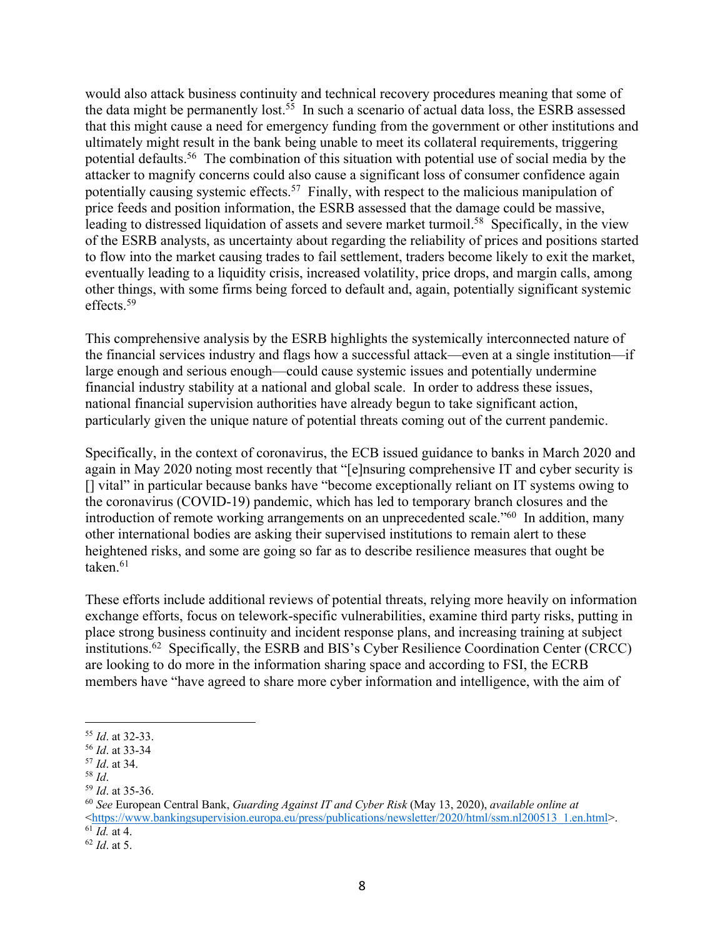would also attack business continuity and technical recovery procedures meaning that some of the data might be permanently lost.<sup>55</sup> In such a scenario of actual data loss, the ESRB assessed that this might cause a need for emergency funding from the government or other institutions and ultimately might result in the bank being unable to meet its collateral requirements, triggering potential defaults.<sup>56</sup> The combination of this situation with potential use of social media by the attacker to magnify concerns could also cause a significant loss of consumer confidence again potentially causing systemic effects.<sup>57</sup> Finally, with respect to the malicious manipulation of price feeds and position information, the ESRB assessed that the damage could be massive, leading to distressed liquidation of assets and severe market turmoil.<sup>58</sup> Specifically, in the view of the ESRB analysts, as uncertainty about regarding the reliability of prices and positions started to flow into the market causing trades to fail settlement, traders become likely to exit the market, eventually leading to a liquidity crisis, increased volatility, price drops, and margin calls, among other things, with some firms being forced to default and, again, potentially significant systemic effects. 59

This comprehensive analysis by the ESRB highlights the systemically interconnected nature of the financial services industry and flags how a successful attack—even at a single institution—if large enough and serious enough—could cause systemic issues and potentially undermine financial industry stability at a national and global scale. In order to address these issues, national financial supervision authorities have already begun to take significant action, particularly given the unique nature of potential threats coming out of the current pandemic.

Specifically, in the context of coronavirus, the ECB issued guidance to banks in March 2020 and again in May 2020 noting most recently that "[e]nsuring comprehensive IT and cyber security is [] vital" in particular because banks have "become exceptionally reliant on IT systems owing to the coronavirus (COVID‑19) pandemic, which has led to temporary branch closures and the introduction of remote working arrangements on an unprecedented scale."<sup>60</sup> In addition, many other international bodies are asking their supervised institutions to remain alert to these heightened risks, and some are going so far as to describe resilience measures that ought be taken. $61$ 

These efforts include additional reviews of potential threats, relying more heavily on information exchange efforts, focus on telework-specific vulnerabilities, examine third party risks, putting in place strong business continuity and incident response plans, and increasing training at subject institutions.62 Specifically, the ESRB and BIS's Cyber Resilience Coordination Center (CRCC) are looking to do more in the information sharing space and according to FSI, the ECRB members have "have agreed to share more cyber information and intelligence, with the aim of

<sup>55</sup> *Id*. at 32-33.

<sup>56</sup> *Id*. at 33-34

<sup>57</sup> *Id*. at 34.

<sup>58</sup> *Id*.

<sup>59</sup> *Id*. at 35-36.

<sup>60</sup> *See* European Central Bank, *Guarding Against IT and Cyber Risk* (May 13, 2020), *available online at*  $\lt$ https://www.bankingsupervision.europa.eu/press/publications/newsletter/2020/html/ssm.nl200513\_1.en.html>.  $\overline{61}$ *Id.* at 4.

<sup>62</sup> *Id*. at 5.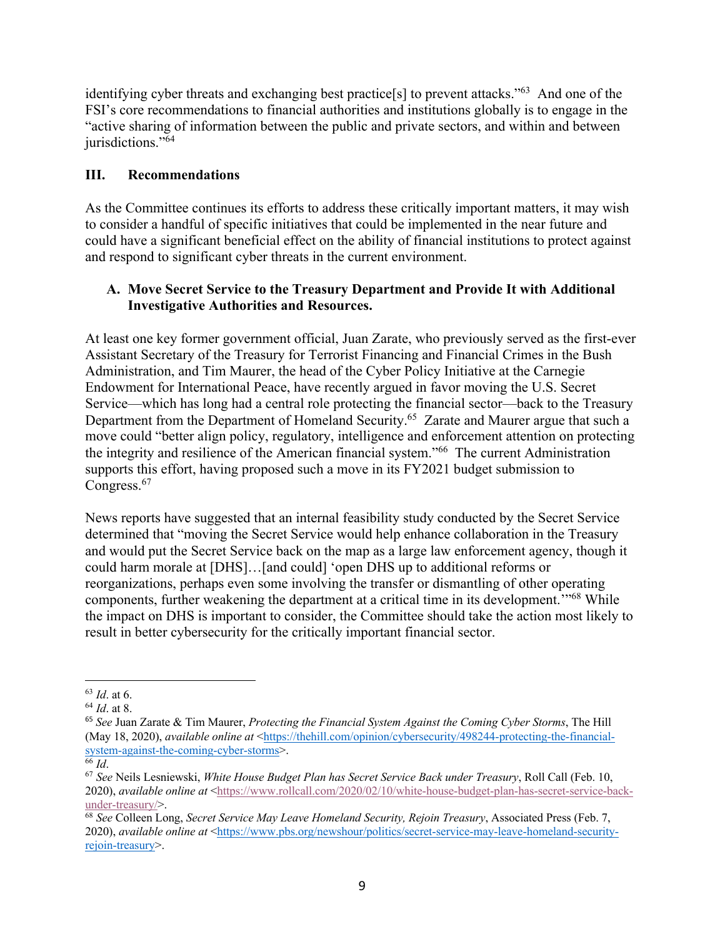identifying cyber threats and exchanging best practice[s] to prevent attacks."63 And one of the FSI's core recommendations to financial authorities and institutions globally is to engage in the "active sharing of information between the public and private sectors, and within and between jurisdictions."<sup>64</sup>

# **III. Recommendations**

As the Committee continues its efforts to address these critically important matters, it may wish to consider a handful of specific initiatives that could be implemented in the near future and could have a significant beneficial effect on the ability of financial institutions to protect against and respond to significant cyber threats in the current environment.

# **A. Move Secret Service to the Treasury Department and Provide It with Additional Investigative Authorities and Resources.**

At least one key former government official, Juan Zarate, who previously served as the first-ever Assistant Secretary of the Treasury for Terrorist Financing and Financial Crimes in the Bush Administration, and Tim Maurer, the head of the Cyber Policy Initiative at the Carnegie Endowment for International Peace, have recently argued in favor moving the U.S. Secret Service—which has long had a central role protecting the financial sector—back to the Treasury Department from the Department of Homeland Security. 65 Zarate and Maurer argue that such a move could "better align policy, regulatory, intelligence and enforcement attention on protecting the integrity and resilience of the American financial system."66 The current Administration supports this effort, having proposed such a move in its FY2021 budget submission to Congress.<sup>67</sup>

News reports have suggested that an internal feasibility study conducted by the Secret Service determined that "moving the Secret Service would help enhance collaboration in the Treasury and would put the Secret Service back on the map as a large law enforcement agency, though it could harm morale at [DHS]…[and could] 'open DHS up to additional reforms or reorganizations, perhaps even some involving the transfer or dismantling of other operating components, further weakening the department at a critical time in its development.'"68 While the impact on DHS is important to consider, the Committee should take the action most likely to result in better cybersecurity for the critically important financial sector.

<sup>63</sup> *Id*. at 6.

<sup>64</sup> *Id*. at 8.

<sup>65</sup> *See* Juan Zarate & Tim Maurer, *Protecting the Financial System Against the Coming Cyber Storms*, The Hill (May 18, 2020), *available online at* <https://thehill.com/opinion/cybersecurity/498244-protecting-the-financialsystem-against-the-coming-cyber-storms>.

 $66$  *Id.* 

<sup>67</sup> *See* Neils Lesniewski, *White House Budget Plan has Secret Service Back under Treasury*, Roll Call (Feb. 10, 2020), *available online at* <https://www.rollcall.com/2020/02/10/white-house-budget-plan-has-secret-service-backunder-treasury/>.

<sup>68</sup> *See* Colleen Long, *Secret Service May Leave Homeland Security, Rejoin Treasury*, Associated Press (Feb. 7, 2020), *available online at* <https://www.pbs.org/newshour/politics/secret-service-may-leave-homeland-securityrejoin-treasury>.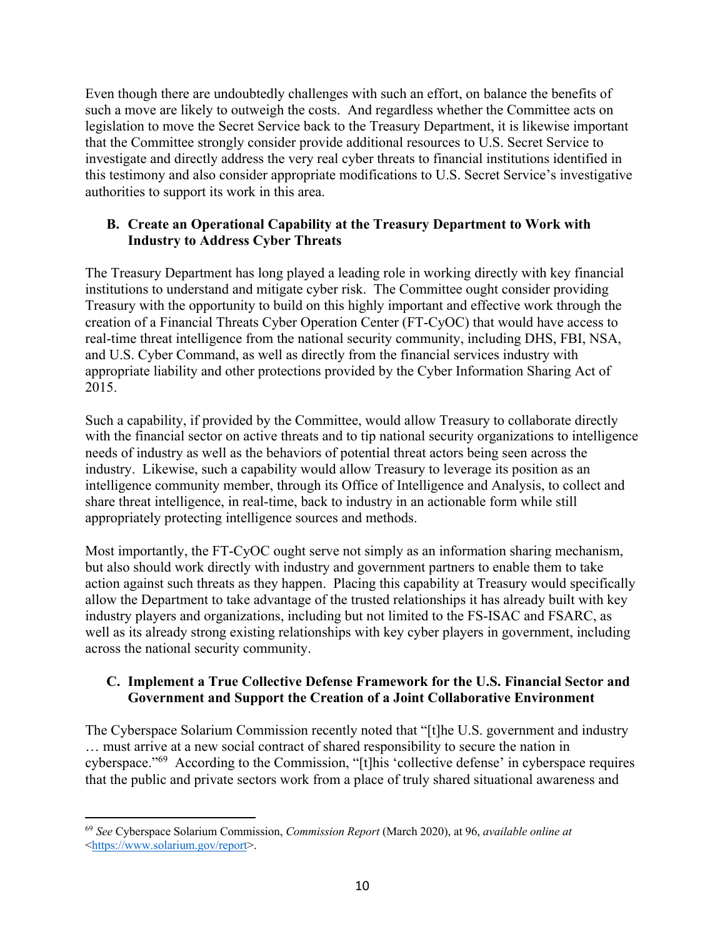Even though there are undoubtedly challenges with such an effort, on balance the benefits of such a move are likely to outweigh the costs. And regardless whether the Committee acts on legislation to move the Secret Service back to the Treasury Department, it is likewise important that the Committee strongly consider provide additional resources to U.S. Secret Service to investigate and directly address the very real cyber threats to financial institutions identified in this testimony and also consider appropriate modifications to U.S. Secret Service's investigative authorities to support its work in this area.

## **B. Create an Operational Capability at the Treasury Department to Work with Industry to Address Cyber Threats**

The Treasury Department has long played a leading role in working directly with key financial institutions to understand and mitigate cyber risk. The Committee ought consider providing Treasury with the opportunity to build on this highly important and effective work through the creation of a Financial Threats Cyber Operation Center (FT-CyOC) that would have access to real-time threat intelligence from the national security community, including DHS, FBI, NSA, and U.S. Cyber Command, as well as directly from the financial services industry with appropriate liability and other protections provided by the Cyber Information Sharing Act of 2015.

Such a capability, if provided by the Committee, would allow Treasury to collaborate directly with the financial sector on active threats and to tip national security organizations to intelligence needs of industry as well as the behaviors of potential threat actors being seen across the industry. Likewise, such a capability would allow Treasury to leverage its position as an intelligence community member, through its Office of Intelligence and Analysis, to collect and share threat intelligence, in real-time, back to industry in an actionable form while still appropriately protecting intelligence sources and methods.

Most importantly, the FT-CyOC ought serve not simply as an information sharing mechanism, but also should work directly with industry and government partners to enable them to take action against such threats as they happen. Placing this capability at Treasury would specifically allow the Department to take advantage of the trusted relationships it has already built with key industry players and organizations, including but not limited to the FS-ISAC and FSARC, as well as its already strong existing relationships with key cyber players in government, including across the national security community.

## **C. Implement a True Collective Defense Framework for the U.S. Financial Sector and Government and Support the Creation of a Joint Collaborative Environment**

The Cyberspace Solarium Commission recently noted that "[t]he U.S. government and industry … must arrive at a new social contract of shared responsibility to secure the nation in cyberspace."69 According to the Commission, "[t]his 'collective defense' in cyberspace requires that the public and private sectors work from a place of truly shared situational awareness and

<sup>69</sup> *See* Cyberspace Solarium Commission, *Commission Report* (March 2020), at 96, *available online at* <https://www.solarium.gov/report>.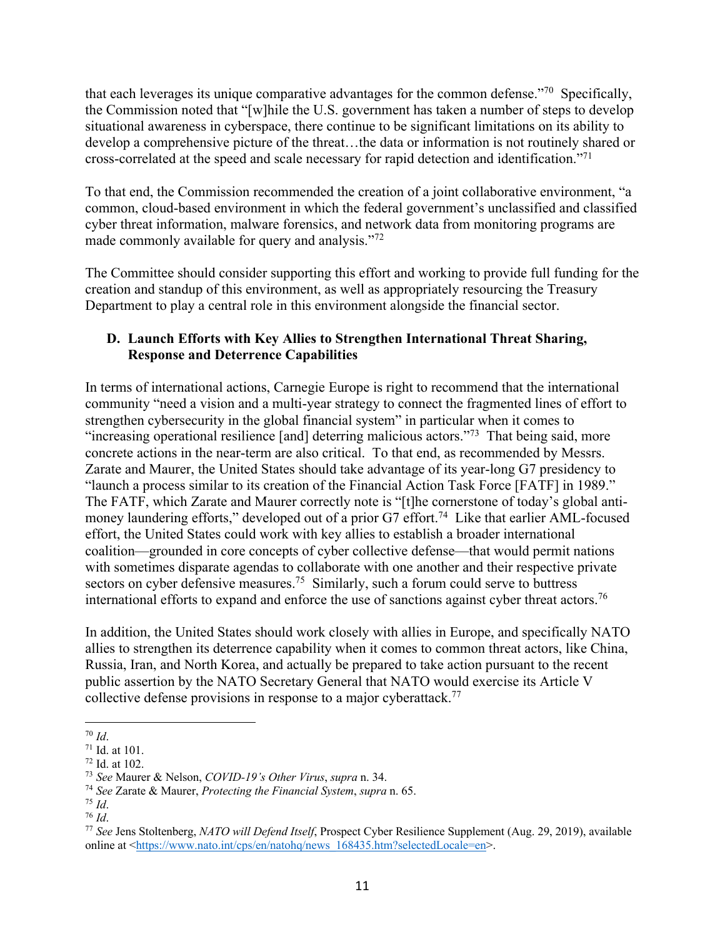that each leverages its unique comparative advantages for the common defense."70 Specifically, the Commission noted that "[w]hile the U.S. government has taken a number of steps to develop situational awareness in cyberspace, there continue to be significant limitations on its ability to develop a comprehensive picture of the threat…the data or information is not routinely shared or cross-correlated at the speed and scale necessary for rapid detection and identification."71

To that end, the Commission recommended the creation of a joint collaborative environment, "a common, cloud-based environment in which the federal government's unclassified and classified cyber threat information, malware forensics, and network data from monitoring programs are made commonly available for query and analysis."<sup>72</sup>

The Committee should consider supporting this effort and working to provide full funding for the creation and standup of this environment, as well as appropriately resourcing the Treasury Department to play a central role in this environment alongside the financial sector.

# **D. Launch Efforts with Key Allies to Strengthen International Threat Sharing, Response and Deterrence Capabilities**

In terms of international actions, Carnegie Europe is right to recommend that the international community "need a vision and a multi-year strategy to connect the fragmented lines of effort to strengthen cybersecurity in the global financial system" in particular when it comes to "increasing operational resilience [and] deterring malicious actors."<sup>73</sup> That being said, more concrete actions in the near-term are also critical. To that end, as recommended by Messrs. Zarate and Maurer, the United States should take advantage of its year-long G7 presidency to "launch a process similar to its creation of the Financial Action Task Force [FATF] in 1989." The FATF, which Zarate and Maurer correctly note is "[t]he cornerstone of today's global antimoney laundering efforts," developed out of a prior G7 effort.<sup>74</sup> Like that earlier AML-focused effort, the United States could work with key allies to establish a broader international coalition—grounded in core concepts of cyber collective defense—that would permit nations with sometimes disparate agendas to collaborate with one another and their respective private sectors on cyber defensive measures.<sup>75</sup> Similarly, such a forum could serve to buttress international efforts to expand and enforce the use of sanctions against cyber threat actors.<sup>76</sup>

In addition, the United States should work closely with allies in Europe, and specifically NATO allies to strengthen its deterrence capability when it comes to common threat actors, like China, Russia, Iran, and North Korea, and actually be prepared to take action pursuant to the recent public assertion by the NATO Secretary General that NATO would exercise its Article V collective defense provisions in response to a major cyberattack. 77

<sup>70</sup> *Id*.

<sup>71</sup> Id. at 101.

<sup>72</sup> Id. at 102.

<sup>73</sup> *See* Maurer & Nelson, *COVID-19's Other Virus*, *supra* n. 34.

<sup>74</sup> *See* Zarate & Maurer, *Protecting the Financial System*, *supra* n. 65.

<sup>75</sup> *Id*.

<sup>76</sup> *Id*.

<sup>77</sup> *See* Jens Stoltenberg, *NATO will Defend Itself*, Prospect Cyber Resilience Supplement (Aug. 29, 2019), available online at <https://www.nato.int/cps/en/natohq/news\_168435.htm?selectedLocale=en>.